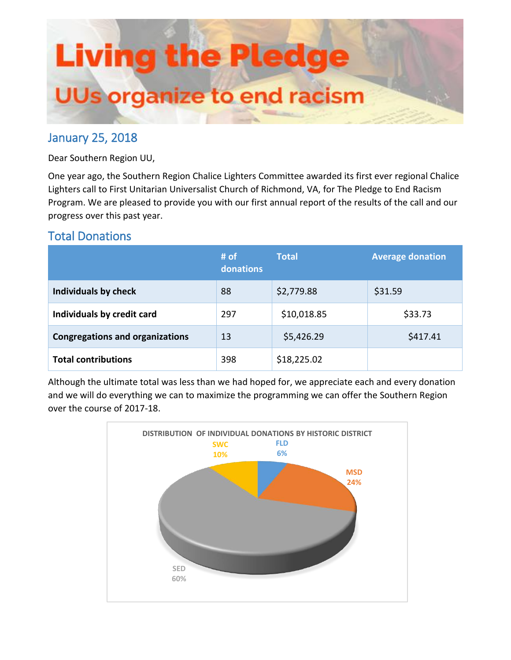

# January 25, 2018

Dear Southern Region UU,

One year ago, the Southern Region Chalice Lighters Committee awarded its first ever regional Chalice Lighters call to First Unitarian Universalist Church of Richmond, VA, for The Pledge to End Racism Program. We are pleased to provide you with our first annual report of the results of the call and our progress over this past year.

# Total Donations

|                                        | # of<br>donations | <b>Total</b> | <b>Average donation</b> |
|----------------------------------------|-------------------|--------------|-------------------------|
| Individuals by check                   | 88                | \$2,779.88   | \$31.59                 |
| Individuals by credit card             | 297               | \$10,018.85  | \$33.73                 |
| <b>Congregations and organizations</b> | 13                | \$5,426.29   | \$417.41                |
| <b>Total contributions</b>             | 398               | \$18,225.02  |                         |

Although the ultimate total was less than we had hoped for, we appreciate each and every donation and we will do everything we can to maximize the programming we can offer the Southern Region over the course of 2017-18.

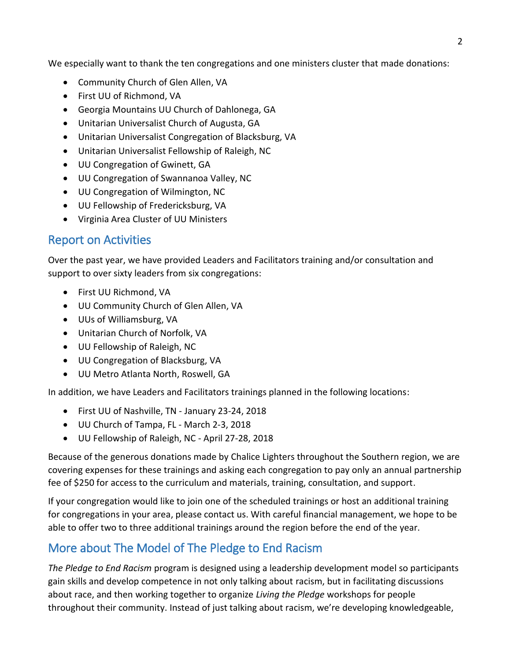We especially want to thank the ten congregations and one ministers cluster that made donations:

- Community Church of Glen Allen, VA
- First UU of Richmond, VA
- Georgia Mountains UU Church of Dahlonega, GA
- Unitarian Universalist Church of Augusta, GA
- Unitarian Universalist Congregation of Blacksburg, VA
- Unitarian Universalist Fellowship of Raleigh, NC
- UU Congregation of Gwinett, GA
- UU Congregation of Swannanoa Valley, NC
- UU Congregation of Wilmington, NC
- UU Fellowship of Fredericksburg, VA
- Virginia Area Cluster of UU Ministers

### Report on Activities

Over the past year, we have provided Leaders and Facilitators training and/or consultation and support to over sixty leaders from six congregations:

- First UU Richmond, VA
- UU Community Church of Glen Allen, VA
- UUs of Williamsburg, VA
- Unitarian Church of Norfolk, VA
- UU Fellowship of Raleigh, NC
- UU Congregation of Blacksburg, VA
- UU Metro Atlanta North, Roswell, GA

In addition, we have Leaders and Facilitators trainings planned in the following locations:

- First UU of Nashville, TN January 23-24, 2018
- UU Church of Tampa, FL March 2-3, 2018
- UU Fellowship of Raleigh, NC April 27-28, 2018

Because of the generous donations made by Chalice Lighters throughout the Southern region, we are covering expenses for these trainings and asking each congregation to pay only an annual partnership fee of \$250 for access to the curriculum and materials, training, consultation, and support.

If your congregation would like to join one of the scheduled trainings or host an additional training for congregations in your area, please contact us. With careful financial management, we hope to be able to offer two to three additional trainings around the region before the end of the year.

# More about The Model of The Pledge to End Racism

*The Pledge to End Racism* program is designed using a leadership development model so participants gain skills and develop competence in not only talking about racism, but in facilitating discussions about race, and then working together to organize *Living the Pledge* workshops for people throughout their community. Instead of just talking about racism, we're developing knowledgeable,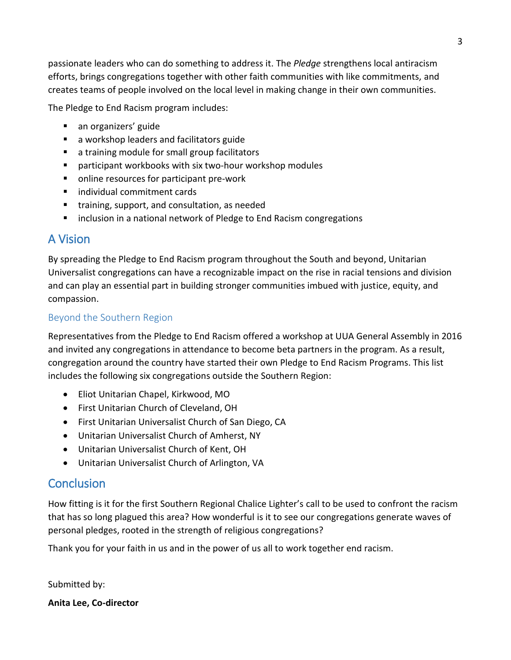passionate leaders who can do something to address it. The *Pledge* strengthens local antiracism efforts, brings congregations together with other faith communities with like commitments, and creates teams of people involved on the local level in making change in their own communities.

The Pledge to End Racism program includes:

- an organizers' guide
- a workshop leaders and facilitators guide
- a training module for small group facilitators
- participant workbooks with six two-hour workshop modules
- online resources for participant pre-work
- individual commitment cards
- training, support, and consultation, as needed
- inclusion in a national network of Pledge to End Racism congregations

### A Vision

By spreading the Pledge to End Racism program throughout the South and beyond, Unitarian Universalist congregations can have a recognizable impact on the rise in racial tensions and division and can play an essential part in building stronger communities imbued with justice, equity, and compassion.

#### Beyond the Southern Region

Representatives from the Pledge to End Racism offered a workshop at UUA General Assembly in 2016 and invited any congregations in attendance to become beta partners in the program. As a result, congregation around the country have started their own Pledge to End Racism Programs. This list includes the following six congregations outside the Southern Region:

- Eliot Unitarian Chapel, Kirkwood, MO
- First Unitarian Church of Cleveland, OH
- First Unitarian Universalist Church of San Diego, CA
- Unitarian Universalist Church of Amherst, NY
- Unitarian Universalist Church of Kent, OH
- Unitarian Universalist Church of Arlington, VA

### **Conclusion**

How fitting is it for the first Southern Regional Chalice Lighter's call to be used to confront the racism that has so long plagued this area? How wonderful is it to see our congregations generate waves of personal pledges, rooted in the strength of religious congregations?

Thank you for your faith in us and in the power of us all to work together end racism.

Submitted by:

**Anita Lee, Co-director**